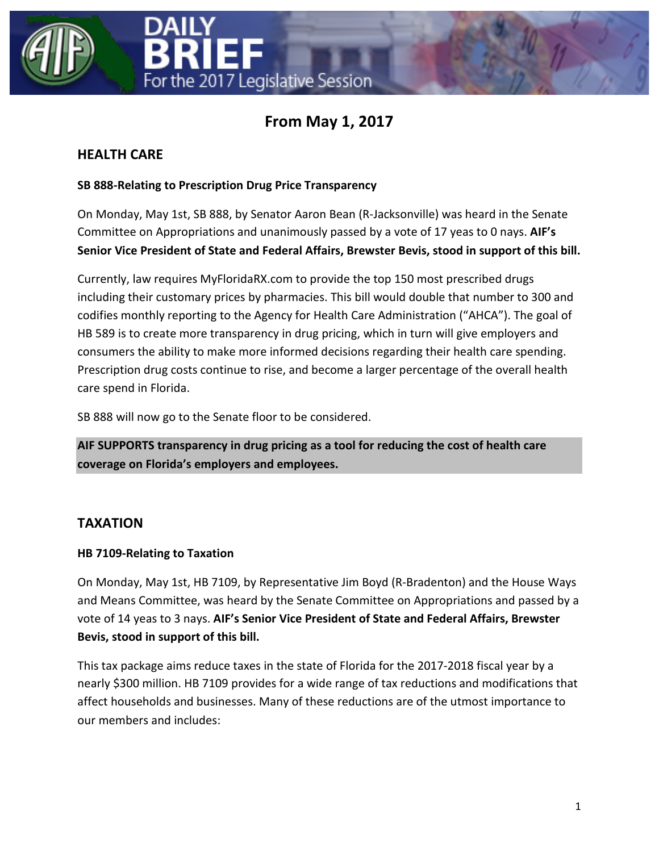



# **From May 1, 2017**

### **HEALTH CARE**

### **SB 888-Relating to Prescription Drug Price Transparency**

On Monday, May 1st, SB 888, by Senator Aaron Bean (R-Jacksonville) was heard in the Senate Committee on Appropriations and unanimously passed by a vote of 17 yeas to 0 nays. **AIF's Senior Vice President of State and Federal Affairs, Brewster Bevis, stood in support of this bill.**

Currently, law requires MyFloridaRX.com to provide the top 150 most prescribed drugs including their customary prices by pharmacies. This bill would double that number to 300 and codifies monthly reporting to the Agency for Health Care Administration ("AHCA"). The goal of HB 589 is to create more transparency in drug pricing, which in turn will give employers and consumers the ability to make more informed decisions regarding their health care spending. Prescription drug costs continue to rise, and become a larger percentage of the overall health care spend in Florida.

SB 888 will now go to the Senate floor to be considered.

**AIF SUPPORTS transparency in drug pricing as a tool for reducing the cost of health care coverage on Florida's employers and employees.**

## **TAXATION**

### **HB 7109-Relating to Taxation**

On Monday, May 1st, HB 7109, by Representative Jim Boyd (R-Bradenton) and the House Ways and Means Committee, was heard by the Senate Committee on Appropriations and passed by a vote of 14 yeas to 3 nays. **AIF's Senior Vice President of State and Federal Affairs, Brewster Bevis, stood in support of this bill.**

This tax package aims reduce taxes in the state of Florida for the 2017-2018 fiscal year by a nearly \$300 million. HB 7109 provides for a wide range of tax reductions and modifications that affect households and businesses. Many of these reductions are of the utmost importance to our members and includes: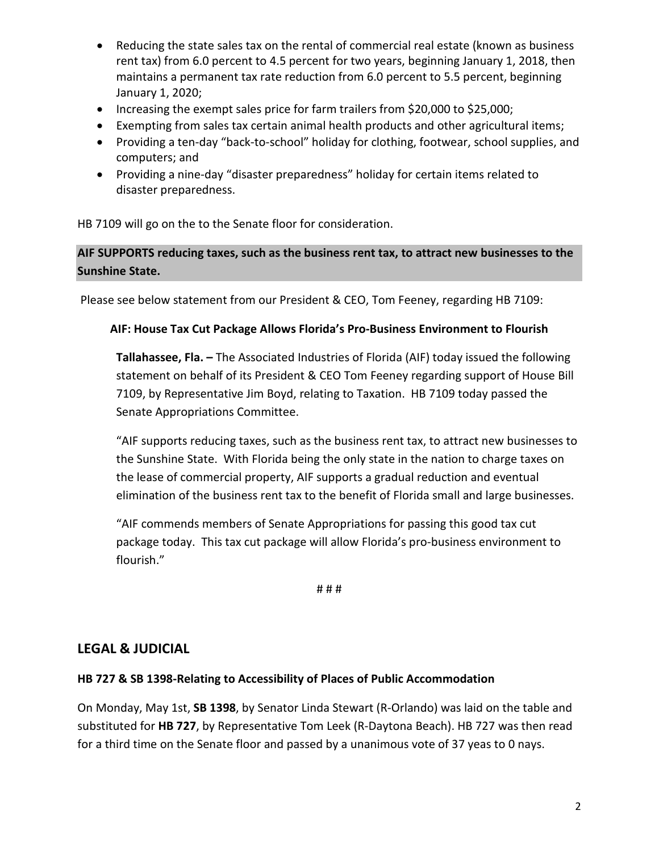- Reducing the state sales tax on the rental of commercial real estate (known as business rent tax) from 6.0 percent to 4.5 percent for two years, beginning January 1, 2018, then maintains a permanent tax rate reduction from 6.0 percent to 5.5 percent, beginning January 1, 2020;
- Increasing the exempt sales price for farm trailers from \$20,000 to \$25,000;
- Exempting from sales tax certain animal health products and other agricultural items;
- Providing a ten-day "back-to-school" holiday for clothing, footwear, school supplies, and computers; and
- Providing a nine-day "disaster preparedness" holiday for certain items related to disaster preparedness.

HB 7109 will go on the to the Senate floor for consideration.

### **AIF SUPPORTS reducing taxes, such as the business rent tax, to attract new businesses to the Sunshine State.**

Please see below statement from our President & CEO, Tom Feeney, regarding HB 7109:

#### **AIF: House Tax Cut Package Allows Florida's Pro-Business Environment to Flourish**

**Tallahassee, Fla. –** The Associated Industries of Florida (AIF) today issued the following statement on behalf of its President & CEO Tom Feeney regarding support of House Bill 7109, by Representative Jim Boyd, relating to Taxation. HB 7109 today passed the Senate Appropriations Committee.

"AIF supports reducing taxes, such as the business rent tax, to attract new businesses to the Sunshine State. With Florida being the only state in the nation to charge taxes on the lease of commercial property, AIF supports a gradual reduction and eventual elimination of the business rent tax to the benefit of Florida small and large businesses.

"AIF commends members of Senate Appropriations for passing this good tax cut package today. This tax cut package will allow Florida's pro-business environment to flourish."

# # #

### **LEGAL & JUDICIAL**

#### **HB 727 & SB 1398-Relating to Accessibility of Places of Public Accommodation**

On Monday, May 1st, **SB 1398**, by Senator Linda Stewart (R-Orlando) was laid on the table and substituted for **HB 727**, by Representative Tom Leek (R-Daytona Beach). HB 727 was then read for a third time on the Senate floor and passed by a unanimous vote of 37 yeas to 0 nays.